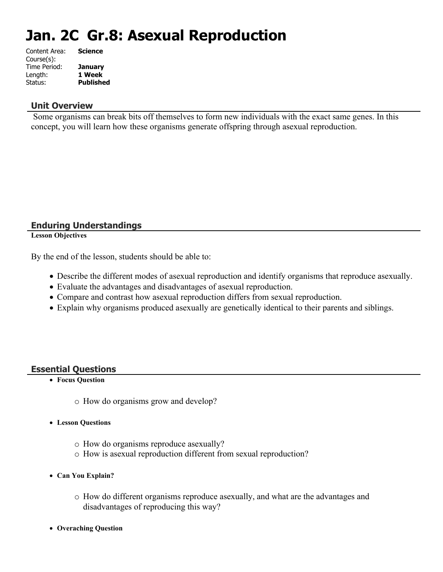# **Jan. 2C Gr.8: Asexual Reproduction**

| Content Area: | <b>Science</b>   |
|---------------|------------------|
| Course(s):    |                  |
| Time Period:  | <b>January</b>   |
| Length:       | 1 Week           |
| Status:       | <b>Published</b> |
|               |                  |

#### **Unit Overview**

 Some organisms can break bits off themselves to form new individuals with the exact same genes. In this concept, you will learn how these organisms generate offspring through asexual reproduction.

## **Enduring Understandings**

**Lesson Objectives**

By the end of the lesson, students should be able to:

- Describe the different modes of asexual reproduction and identify organisms that reproduce asexually.
- Evaluate the advantages and disadvantages of asexual reproduction.
- Compare and contrast how asexual reproduction differs from sexual reproduction.
- Explain why organisms produced asexually are genetically identical to their parents and siblings.

### **Essential Questions**

- **Focus Question**
	- o How do organisms grow and develop?
- **Lesson Questions**
	- o How do organisms reproduce asexually?
	- o How is asexual reproduction different from sexual reproduction?
- **Can You Explain?**
	- o How do different organisms reproduce asexually, and what are the advantages and disadvantages of reproducing this way?
- **Overaching Question**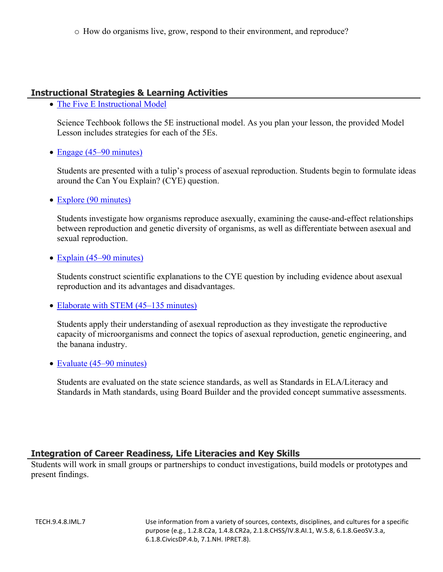o How do organisms live, grow, respond to their environment, and reproduce?

# **Instructional Strategies & Learning Activities**

• [The Five E Instructional Model](https://app.discoveryeducation.com/learn/techbook/units/93c6eda5-eac8-46a9-945f-6a86e10f0bc5/concepts/d5574736-7f6a-4687-98c7-a8adb83be60f/lesson/sections/2e447cbf-87fb-4fe4-9fbc-c25e8f127cb5#5a5d5076-dff1-4115-89b7-839d1b9b8d96)

Science Techbook follows the 5E instructional model. As you plan your lesson, the provided Model Lesson includes strategies for each of the 5Es.

• [Engage \(45–90 minutes\)](https://app.discoveryeducation.com/learn/techbook/units/93c6eda5-eac8-46a9-945f-6a86e10f0bc5/concepts/d5574736-7f6a-4687-98c7-a8adb83be60f/lesson/sections/2e447cbf-87fb-4fe4-9fbc-c25e8f127cb5#30973537-9f99-4f5e-807e-a8b2c27fe883)

Students are presented with a tulip's process of asexual reproduction. Students begin to formulate ideas around the Can You Explain? (CYE) question.

• [Explore \(90 minutes\)](https://app.discoveryeducation.com/learn/techbook/units/93c6eda5-eac8-46a9-945f-6a86e10f0bc5/concepts/d5574736-7f6a-4687-98c7-a8adb83be60f/lesson/sections/2e447cbf-87fb-4fe4-9fbc-c25e8f127cb5#c629be80-d215-4b52-8adb-d7ee2ccfc1da)

Students investigate how organisms reproduce asexually, examining the cause-and-effect relationships between reproduction and genetic diversity of organisms, as well as differentiate between asexual and sexual reproduction.

• [Explain \(45–90 minutes\)](https://app.discoveryeducation.com/learn/techbook/units/93c6eda5-eac8-46a9-945f-6a86e10f0bc5/concepts/d5574736-7f6a-4687-98c7-a8adb83be60f/lesson/sections/2e447cbf-87fb-4fe4-9fbc-c25e8f127cb5#157513d7-0ac0-44e0-a3b2-8c9a2058356e)

Students construct scientific explanations to the CYE question by including evidence about asexual reproduction and its advantages and disadvantages.

• [Elaborate with STEM \(45–135 minutes\)](https://app.discoveryeducation.com/learn/techbook/units/93c6eda5-eac8-46a9-945f-6a86e10f0bc5/concepts/d5574736-7f6a-4687-98c7-a8adb83be60f/lesson/sections/2e447cbf-87fb-4fe4-9fbc-c25e8f127cb5#785a4a54-bc5f-47d3-9723-4ad3e5e738a3)

Students apply their understanding of asexual reproduction as they investigate the reproductive capacity of microorganisms and connect the topics of asexual reproduction, genetic engineering, and the banana industry.

• [Evaluate \(45–90 minutes\)](https://app.discoveryeducation.com/learn/techbook/units/93c6eda5-eac8-46a9-945f-6a86e10f0bc5/concepts/d5574736-7f6a-4687-98c7-a8adb83be60f/lesson/sections/2e447cbf-87fb-4fe4-9fbc-c25e8f127cb5#efaefcfc-9a85-46d1-8212-f5816c954222)

Students are evaluated on the state science standards, as well as Standards in ELA/Literacy and Standards in Math standards, using Board Builder and the provided concept summative assessments.

### **Integration of Career Readiness, Life Literacies and Key Skills**

Students will work in small groups or partnerships to conduct investigations, build models or prototypes and present findings.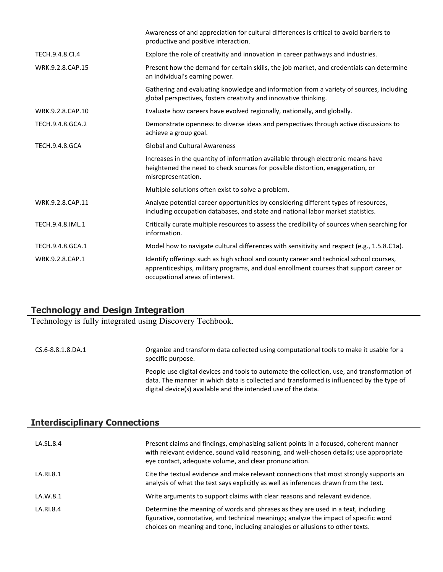|                       | Awareness of and appreciation for cultural differences is critical to avoid barriers to<br>productive and positive interaction.                                                                                     |
|-----------------------|---------------------------------------------------------------------------------------------------------------------------------------------------------------------------------------------------------------------|
| TECH.9.4.8.Cl.4       | Explore the role of creativity and innovation in career pathways and industries.                                                                                                                                    |
| WRK.9.2.8.CAP.15      | Present how the demand for certain skills, the job market, and credentials can determine<br>an individual's earning power.                                                                                          |
|                       | Gathering and evaluating knowledge and information from a variety of sources, including<br>global perspectives, fosters creativity and innovative thinking.                                                         |
| WRK.9.2.8.CAP.10      | Evaluate how careers have evolved regionally, nationally, and globally.                                                                                                                                             |
| TECH.9.4.8.GCA.2      | Demonstrate openness to diverse ideas and perspectives through active discussions to<br>achieve a group goal.                                                                                                       |
| <b>TECH.9.4.8.GCA</b> | <b>Global and Cultural Awareness</b>                                                                                                                                                                                |
|                       | Increases in the quantity of information available through electronic means have<br>heightened the need to check sources for possible distortion, exaggeration, or<br>misrepresentation.                            |
|                       | Multiple solutions often exist to solve a problem.                                                                                                                                                                  |
| WRK.9.2.8.CAP.11      | Analyze potential career opportunities by considering different types of resources,<br>including occupation databases, and state and national labor market statistics.                                              |
| TECH.9.4.8.IML.1      | Critically curate multiple resources to assess the credibility of sources when searching for<br>information.                                                                                                        |
| TECH.9.4.8.GCA.1      | Model how to navigate cultural differences with sensitivity and respect (e.g., 1.5.8.C1a).                                                                                                                          |
| WRK.9.2.8.CAP.1       | Identify offerings such as high school and county career and technical school courses,<br>apprenticeships, military programs, and dual enrollment courses that support career or<br>occupational areas of interest. |

# **Technology and Design Integration**

Technology is fully integrated using Discovery Techbook.

CS.6-8.8.1.8.DA.1 Organize and transform data collected using computational tools to make it usable for a specific purpose. People use digital devices and tools to automate the collection, use, and transformation of data. The manner in which data is collected and transformed is influenced by the type of digital device(s) available and the intended use of the data.

## **Interdisciplinary Connections**

| LA.SL.8.4 | Present claims and findings, emphasizing salient points in a focused, coherent manner<br>with relevant evidence, sound valid reasoning, and well-chosen details; use appropriate<br>eye contact, adequate volume, and clear pronunciation.                |
|-----------|-----------------------------------------------------------------------------------------------------------------------------------------------------------------------------------------------------------------------------------------------------------|
| LA.RI.8.1 | Cite the textual evidence and make relevant connections that most strongly supports an<br>analysis of what the text says explicitly as well as inferences drawn from the text.                                                                            |
| LA.W.8.1  | Write arguments to support claims with clear reasons and relevant evidence.                                                                                                                                                                               |
| LA.RI.8.4 | Determine the meaning of words and phrases as they are used in a text, including<br>figurative, connotative, and technical meanings; analyze the impact of specific word<br>choices on meaning and tone, including analogies or allusions to other texts. |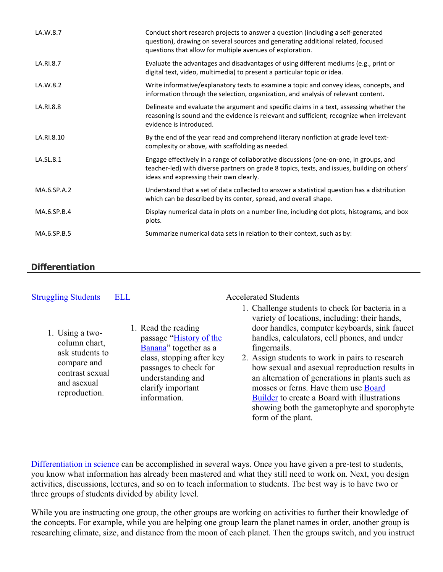| LA.W.8.7    | Conduct short research projects to answer a question (including a self-generated<br>question), drawing on several sources and generating additional related, focused<br>questions that allow for multiple avenues of exploration. |
|-------------|-----------------------------------------------------------------------------------------------------------------------------------------------------------------------------------------------------------------------------------|
| LA.RI.8.7   | Evaluate the advantages and disadvantages of using different mediums (e.g., print or<br>digital text, video, multimedia) to present a particular topic or idea.                                                                   |
| LA.W.8.2    | Write informative/explanatory texts to examine a topic and convey ideas, concepts, and<br>information through the selection, organization, and analysis of relevant content.                                                      |
| LA.RI.8.8   | Delineate and evaluate the argument and specific claims in a text, assessing whether the<br>reasoning is sound and the evidence is relevant and sufficient; recognize when irrelevant<br>evidence is introduced.                  |
| LA.RI.8.10  | By the end of the year read and comprehend literary nonfiction at grade level text-<br>complexity or above, with scaffolding as needed.                                                                                           |
| LA.SL.8.1   | Engage effectively in a range of collaborative discussions (one-on-one, in groups, and<br>teacher-led) with diverse partners on grade 8 topics, texts, and issues, building on others'<br>ideas and expressing their own clearly. |
| MA.6.SP.A.2 | Understand that a set of data collected to answer a statistical question has a distribution<br>which can be described by its center, spread, and overall shape.                                                                   |
| MA.6.SP.B.4 | Display numerical data in plots on a number line, including dot plots, histograms, and box<br>plots.                                                                                                                              |
| MA.6.SP.B.5 | Summarize numerical data sets in relation to their context, such as by:                                                                                                                                                           |

# **Differentiation**

| <b>Struggling Students</b>                                                                                            | ELL                                                                                                                                                                                     | <b>Accelerated Students</b>                                                                                                                                                                                                                                                                                                                                                                                                                                                                                                             |
|-----------------------------------------------------------------------------------------------------------------------|-----------------------------------------------------------------------------------------------------------------------------------------------------------------------------------------|-----------------------------------------------------------------------------------------------------------------------------------------------------------------------------------------------------------------------------------------------------------------------------------------------------------------------------------------------------------------------------------------------------------------------------------------------------------------------------------------------------------------------------------------|
| 1. Using a two-<br>column chart,<br>ask students to<br>compare and<br>contrast sexual<br>and asexual<br>reproduction. | 1. Read the reading<br>passage "History of the<br>Banana" together as a<br>class, stopping after key<br>passages to check for<br>understanding and<br>clarify important<br>information. | 1. Challenge students to check for bacteria in a<br>variety of locations, including: their hands,<br>door handles, computer keyboards, sink faucet<br>handles, calculators, cell phones, and under<br>fingernails.<br>2. Assign students to work in pairs to research<br>how sexual and asexual reproduction results in<br>an alternation of generations in plants such as<br>mosses or ferns. Have them use Board<br>Builder to create a Board with illustrations<br>showing both the gametophyte and sporophyte<br>form of the plant. |

[Differentiation in science](http://www.brighthubeducation.com/teaching-gifted-students/65181-differentiation-techniques-and-activities-in-the-classroom-for-gifted-students/) can be accomplished in several ways. Once you have given a pre-test to students, you know what information has already been mastered and what they still need to work on. Next, you design activities, discussions, lectures, and so on to teach information to students. The best way is to have two or three groups of students divided by ability level.

While you are instructing one group, the other groups are working on activities to further their knowledge of the concepts. For example, while you are helping one group learn the planet names in order, another group is researching climate, size, and distance from the moon of each planet. Then the groups switch, and you instruct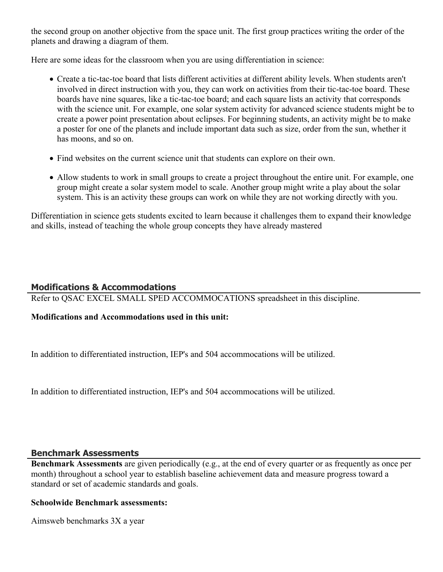the second group on another objective from the space unit. The first group practices writing the order of the planets and drawing a diagram of them.

Here are some ideas for the classroom when you are using differentiation in science:

- Create a tic-tac-toe board that lists different activities at different ability levels. When students aren't involved in direct instruction with you, they can work on activities from their tic-tac-toe board. These boards have nine squares, like a tic-tac-toe board; and each square lists an activity that corresponds with the science unit. For example, one solar system activity for advanced science students might be to create a power point presentation about eclipses. For beginning students, an activity might be to make a poster for one of the planets and include important data such as size, order from the sun, whether it has moons, and so on.
- Find websites on the current science unit that students can explore on their own.
- Allow students to work in small groups to create a project throughout the entire unit. For example, one group might create a solar system model to scale. Another group might write a play about the solar system. This is an activity these groups can work on while they are not working directly with you.

Differentiation in science gets students excited to learn because it challenges them to expand their knowledge and skills, instead of teaching the whole group concepts they have already mastered

## **Modifications & Accommodations**

Refer to QSAC EXCEL SMALL SPED ACCOMMOCATIONS spreadsheet in this discipline.

### **Modifications and Accommodations used in this unit:**

In addition to differentiated instruction, IEP's and 504 accommocations will be utilized.

In addition to differentiated instruction, IEP's and 504 accommocations will be utilized.

### **Benchmark Assessments**

**Benchmark Assessments** are given periodically (e.g., at the end of every quarter or as frequently as once per month) throughout a school year to establish baseline achievement data and measure progress toward a standard or set of academic standards and goals.

### **Schoolwide Benchmark assessments:**

Aimsweb benchmarks 3X a year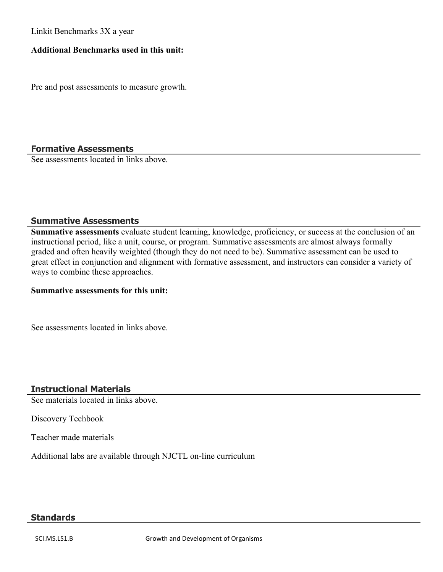Linkit Benchmarks 3X a year

#### **Additional Benchmarks used in this unit:**

Pre and post assessments to measure growth.

### **Formative Assessments**

See assessments located in links above.

#### **Summative Assessments**

**Summative assessments** evaluate student learning, knowledge, proficiency, or success at the conclusion of an instructional period, like a unit, course, or program. Summative assessments are almost always formally graded and often heavily weighted (though they do not need to be). Summative assessment can be used to great effect in conjunction and alignment with formative assessment, and instructors can consider a variety of ways to combine these approaches.

## **Summative assessments for this unit:**

See assessments located in links above.

### **Instructional Materials**

See materials located in links above.

Discovery Techbook

Teacher made materials

Additional labs are available through NJCTL on-line curriculum

#### **Standards**